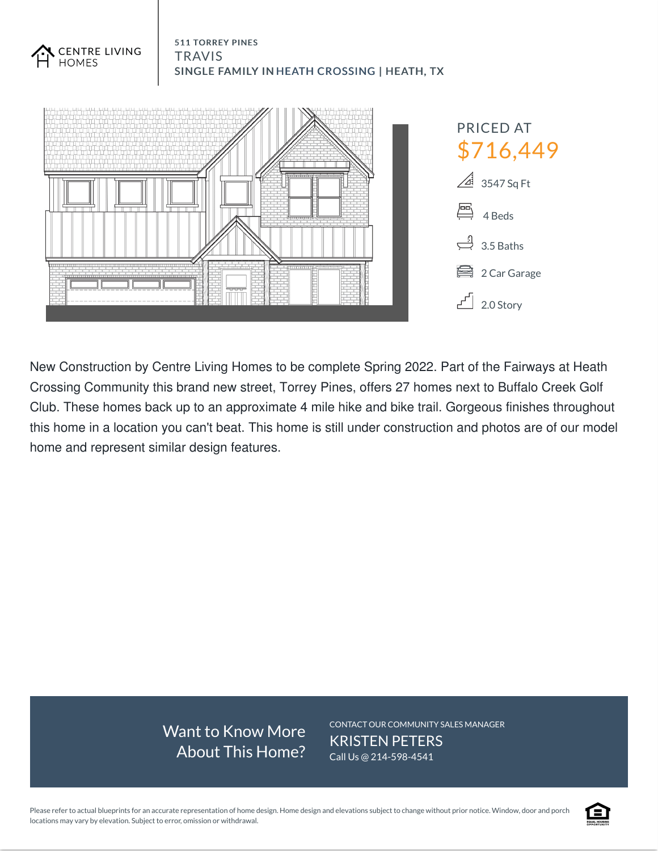

511 TORREY PINES

**TRAVIS** 

**CENTRE LIVING** 

New Construction by Centre Living Homes to be complete Spring 2022. Part of the Fairways at Heath Crossing Community this brand new street, Torrey Pines, offers 27 homes next to Buffalo Creek Golf Club. These homes back up to an approximate 4 mile hike and bike trail. Gorgeous finishes throughout this home in a location you can't beat. This home is still under construction and photos are of our model home and represent similar design features.

> Want to Know More About This Home?

CONTACT OUR COMMUNITY SALES MANAGER KRISTEN PETERS Call Us @ 214-598-4541

Please refer to actual blueprints for an accurate representation of home design. Home design and elevations subject to change without prior notice. Window, door and porch locations may vary by elevation. Subject to error, omission or withdrawal.